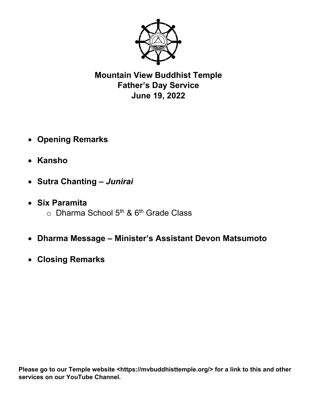

**Mountain View Buddhist Temple Father's Day Service June 19, 2022** 

- **Opening Remarks**
- **Kansho**
- **Sutra Chanting** *Junirai*
- **Six Paramita**   $\circ$  Dharma School 5<sup>th</sup> & 6<sup>th</sup> Grade Class
- **Dharma Message Minister's Assistant Devon Matsumoto**
- **Closing Remarks**

Please go to our Temple website <https://mvbuddhisttemple.org/> for a link to this and other **services on our YouTube Channel.**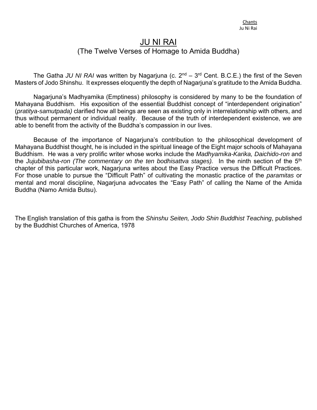## JU NI RAI (The Twelve Verses of Homage to Amida Buddha)

The Gatha JU NI RAI was written by Nagarjuna (c. 2<sup>nd</sup> – 3<sup>rd</sup> Cent. B.C.E.) the first of the Seven Masters of Jodo Shinshu. It expresses eloquently the depth of Nagarjuna's gratitude to the Amida Buddha.

 Nagarjuna's Madhyamika (Emptiness) philosophy is considered by many to be the foundation of Mahayana Buddhism. His exposition of the essential Buddhist concept of "interdependent origination" (*pratitya-samutpada)* clarified how all beings are seen as existing only in interrelationship with others, and thus without permanent or individual reality. Because of the truth of interdependent existence, we are able to benefit from the activity of the Buddha's compassion in our lives.

 Because of the importance of Nagarjuna's contribution to the philosophical development of Mahayana Buddhist thought, he is included in the spiritual lineage of the Eight major schools of Mahayana Buddhism. He was a very prolific writer whose works include the *Madhyamika-Karika, Daichido-ron* and the *Jujubibasha-ron (The commentary on the ten bodhisattva stages).* In the ninth section of the 5th chapter of this particular work, Nagarjuna writes about the Easy Practice versus the Difficult Practices. For those unable to pursue the "Difficult Path" of cultivating the monastic practice of the *paramitas* or mental and moral discipline, Nagarjuna advocates the "Easy Path" of calling the Name of the Amida Buddha (Namo Amida Butsu).

The English translation of this gatha is from the *Shinshu Seiten, Jodo Shin Buddhist Teaching*, published by the Buddhist Churches of America, 1978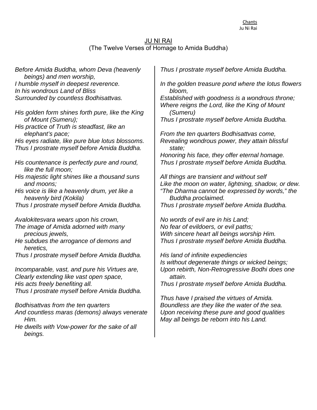## JU NI RAI (The Twelve Verses of Homage to Amida Buddha)

*Before Amida Buddha, whom Deva (heavenly beings) and men worship, I humble myself in deepest reverence. In his wondrous Land of Bliss Surrounded by countless Bodhisattvas.* 

*His golden form shines forth pure, like the King of Mount (Sumeru);* 

*His practice of Truth is steadfast, like an elephant's pace;* 

*His eyes radiate, like pure blue lotus blossoms. Thus I prostrate myself before Amida Buddha.* 

*His countenance is perfectly pure and round, like the full moon;* 

*His majestic light shines like a thousand suns and moons;* 

*His voice is like a heavenly drum, yet like a heavenly bird (Kokila)* 

*Thus I prostrate myself before Amida Buddha.* 

*Avalokitesvara wears upon his crown, The image of Amida adorned with many precious jewels,* 

*He subdues the arrogance of demons and heretics,* 

*Thus I prostrate myself before Amida Buddha.* 

*Incomparable, vast, and pure his Virtues are, Clearly extending like vast open space, His acts freely benefiting all. Thus I prostrate myself before Amida Buddha.* 

*Bodhisattvas from the ten quarters And countless maras (demons) always venerate Him.* 

*He dwells with Vow-power for the sake of all beings.* 

*Thus I prostrate myself before Amida Buddha.* 

*In the golden treasure pond where the lotus flowers bloom,* 

*Established with goodness is a wondrous throne; Where reigns the Lord, like the King of Mount (Sumeru)* 

*Thus I prostrate myself before Amida Buddha.* 

*From the ten quarters Bodhisattvas come, Revealing wondrous power, they attain blissful state;* 

*Honoring his face, they offer eternal homage. Thus I prostrate myself before Amida Buddha.* 

*All things are transient and without self Like the moon on water, lightning, shadow, or dew. "The Dharma cannot be expressed by words," the Buddha proclaimed. Thus I prostrate myself before Amida Buddha.* 

*No words of evil are in his Land; No fear of evildoers, or evil paths; With sincere heart all beings worship Him. Thus I prostrate myself before Amida Buddha.* 

*His land of infinite expediencies Is without degenerate things or wicked beings; Upon rebirth, Non-Retrogressive Bodhi does one attain.* 

*Thus I prostrate myself before Amida Buddha.* 

*Thus have I praised the virtues of Amida. Boundless are they like the water of the sea. Upon receiving these pure and good qualities May all beings be reborn into his Land.*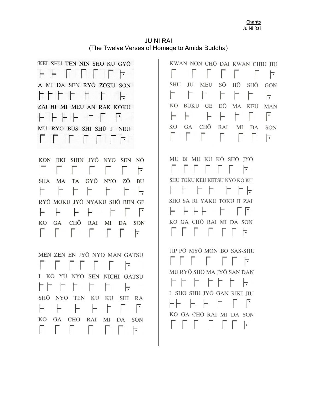JU NI RAI (The Twelve Verses of Homage to Amida Buddha)

KEI SHU TEN NIN SHO KU GYŌ ⊦  $\vdash$ ┢ A MI DA SEN RYŌ ZOKU SON HTTT  $\Gamma$ ┝╤ ZAI HI MI MEU AN RAK KOKU H H H H T MU RYŌ BUS SHI SHŪ I NEU  $\mathbf{r}$ **ESTER**  $\overline{\phantom{0}}$ 

KON JIKI SHIN JYŌ NYO SEN NŌ  $\mathbb{L}$  $\mathbb{R}$  $\mathbf{L}$ Ð 눈 L SHA MA TA GYŌ NYO **BU** ΖŌ F F F F ь. RYŌ MOKU JYŌ NYAKU SHŌ REN GE F ⊢ ۳ ⊢ Г ۳ CHŌ **KO** GA RAI MI DA SON Г Е Г  $\mathbf{L}$  $\mathbf{L}$ ⊺

MEN ZEN EN IYŌ NYO MAN GATSU ံ I KŌ YŪ NYO SEN NICHI GATSU F F Г ⊢ SHŌ NYO TEN KU KU SHI RA ╔ ⊢ F ۳ ⊢ KO GA CHŌ RAI MI DA SON Г  $\mathbf{L}$ |-

KWAN NON CHŌ DAI KWAN CHIU IIU ┝ SHU JU **MEU** SŌ HŌ SHŌ GON F F NŌ BUKU GE DŌ MA KEU **MAN** ╔ ⊢ ⊢ KO GA CHŌ RAI MI DA **SON**  $\mathbb{R}$ 눈

MU BI MU KU KŌ SHŌ JYŌ  $\overline{\phantom{a}}$  $\mathcal{L}$  $\mathbb{R}^n$  $\mathbb{R}$  $\mathbb{R}$ SHU TOKU KEU KETSU NYO KO KŪ  $\Gamma$  $\Gamma$ F. F. SHO SA RI YAKU TOKU JI ZAI H H H KO GA CHO RAI MI DA SON ┢

JIP PŌ MYŌ MON BO SAS-SHU  $\overline{\phantom{a}}$ MU RYŌ SHO MA JYŌ SAN DAN H. I SHO SHU JYŌ GAN RIKI JIU H٣ ۳ KO GA CHO RAI MI DA SON **The Company of the Company**  $\Box$  $\overline{\cdot}$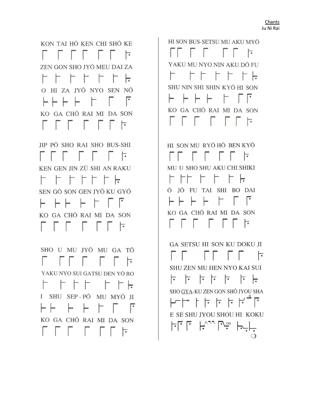SHO U MU JYŌ MU GA TŌ YAKU NYO SUI GATSU DEN YŌ RO F F F F F F <del>L</del> I SHU SEP-PO MU MYO JI HHTH HT Г. KO GA CHO RAI MI DA SON F F F F F F F  $\overline{\phantom{a}}$ 

JIP PÕ SHO RAI SHO BUS-SHI 13 - 13 14 15 16 17 KEN GEN JIN ZŪ SHI AN RAKU H H H H H H H SEN GŌ SON GEN JYŌ KU GYŌ KO GA CHO RAI MI DA SON **FIFTHEFF** 

KON TAI HỘ KEN CHI SHỐ KE **FFFFFF** ZEN GON SHO JYŌ MEU DAI ZA F F F F F F  $\vdash$ O HI ZA JYŌ NYO SEN NŌ KO GA CHO RAI MI DA SON **FFFFFF** 

> GA SETSU HI SON KU DOKU JI **FELER**  $\overline{\phantom{a}}$ **SHU ZEN MU HEN NYO KAI SUI**  $-$ SHO GYA-KU ZEN GON SHŌ JYOU SHA  $\vdash\vdash\vdash\vdash\vdash\vdash\vdash\vdash\vdash$ E SE SHU JYOU SHOU HI KOKU  $\mathsf{H}^{\wedge}$ 正正

HI SON MU RYŌ HŌ BEN KYŌ MU U SHO SHU AKU CHI SHIKI F FF FXFXFX**F** Ō JŌ FU TAI SHI BO DAI ⊢⊢ ⊢ | FlF F KO GA CHŌ RAI MI DA SON MOD D D D H

HI SON BUS-SETSU MU AKU MYŌ  $\Box$ YAKU MU NYO NIN AKU DŌ FU F FF FF F**F** SHU NIN SHI SHIN KYŌ HI SON KO GA CHO RAI MI DA SON F F F F F F F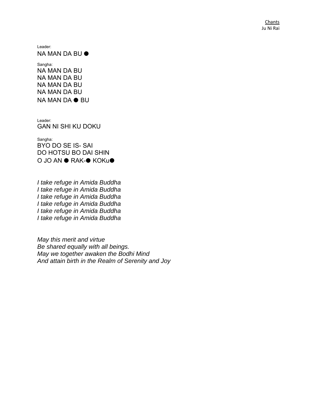Leader:

NA MAN DA BU ⏺

Sangha: NA MAN DA BU NA MAN DA BU NA MAN DA BU NA MAN DA BU NA MAN DA ⏺ BU

Leader: GAN NI SHI KU DOKU

Sangha: BYO DO SE IS- SAI DO HOTSU BO DAI SHIN O JO AN ● RAK-● KOKu●

*I take refuge in Amida Buddha I take refuge in Amida Buddha I take refuge in Amida Buddha I take refuge in Amida Buddha I take refuge in Amida Buddha I take refuge in Amida Buddha* 

*May this merit and virtue Be shared equally with all beings. May we together awaken the Bodhi Mind And attain birth in the Realm of Serenity and Joy*